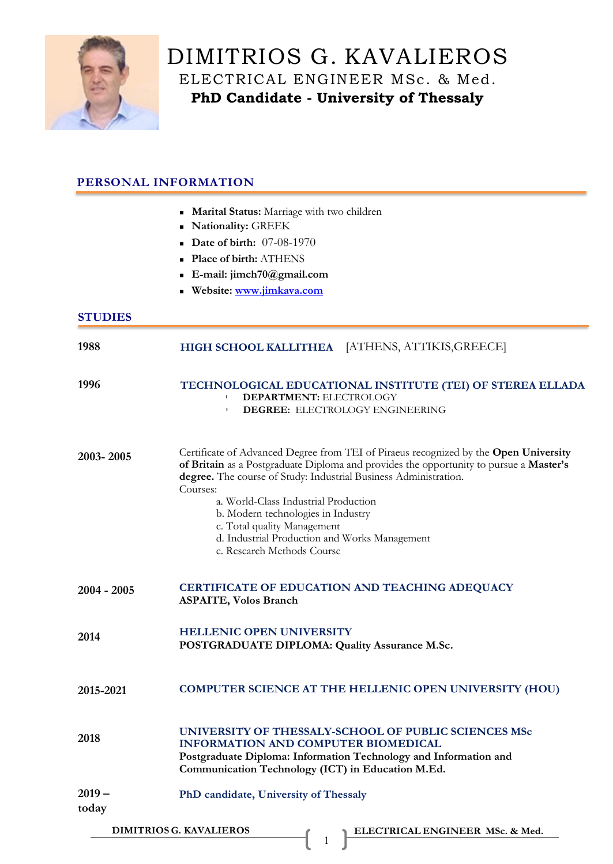

# DIMITRIOS G. KAVALIEROS ELECTRICAL ENGINEER MSc. & Med. **PhD Candidate - University of Thessaly**

## **PERSONAL INFORMATION**

- **In Marital Status:** Marriage with two children
- <sup>◼</sup> **Nationality:** GREEK
- **Date of birth:** 07-08-1970
- <sup>◼</sup> **Place of birth:** ATHENS
- <sup>◼</sup> **E-[mail: jimch70@gmail.com](mailto:jimch70@gmail.com)**
- <sup>◼</sup> **Website: [www.jimkava.com](file:///E:/Î§Î±ÏÏÎ¿ÏÏÎ)**

### **STUDIES**

| 1988              | HIGH SCHOOL KALLITHEA [ATHENS, ATTIKIS, GREECE]                                                                                                                                                                                                                                                                                                                                                                                                            |
|-------------------|------------------------------------------------------------------------------------------------------------------------------------------------------------------------------------------------------------------------------------------------------------------------------------------------------------------------------------------------------------------------------------------------------------------------------------------------------------|
| 1996              | TECHNOLOGICAL EDUCATIONAL INSTITUTE (TEI) OF STEREA ELLADA<br>DEPARTMENT: ELECTROLOGY<br><b>DEGREE: ELECTROLOGY ENGINEERING</b><br>T.                                                                                                                                                                                                                                                                                                                      |
| 2003-2005         | Certificate of Advanced Degree from TEI of Piraeus recognized by the Open University<br>of Britain as a Postgraduate Diploma and provides the opportunity to pursue a Master's<br>degree. The course of Study: Industrial Business Administration.<br>Courses:<br>a. World-Class Industrial Production<br>b. Modern technologies in Industry<br>c. Total quality Management<br>d. Industrial Production and Works Management<br>e. Research Methods Course |
| $2004 - 2005$     | CERTIFICATE OF EDUCATION AND TEACHING ADEQUACY<br><b>ASPAITE, Volos Branch</b>                                                                                                                                                                                                                                                                                                                                                                             |
| 2014              | <b>HELLENIC OPEN UNIVERSITY</b><br>POSTGRADUATE DIPLOMA: Quality Assurance M.Sc.                                                                                                                                                                                                                                                                                                                                                                           |
| 2015-2021         | <b>COMPUTER SCIENCE AT THE HELLENIC OPEN UNIVERSITY (HOU)</b>                                                                                                                                                                                                                                                                                                                                                                                              |
| 2018              | UNIVERSITY OF THESSALY-SCHOOL OF PUBLIC SCIENCES MSc<br><b>INFORMATION AND COMPUTER BIOMEDICAL</b><br>Postgraduate Diploma: Information Technology and Information and<br>Communication Technology (ICT) in Education M.Ed.                                                                                                                                                                                                                                |
| $2019 -$<br>today | PhD candidate, University of Thessaly                                                                                                                                                                                                                                                                                                                                                                                                                      |
|                   | <b>DIMITRIOS G. KAVALIEROS</b><br>ELECTRICAL ENGINEER MSc. & Med.<br>r                                                                                                                                                                                                                                                                                                                                                                                     |

1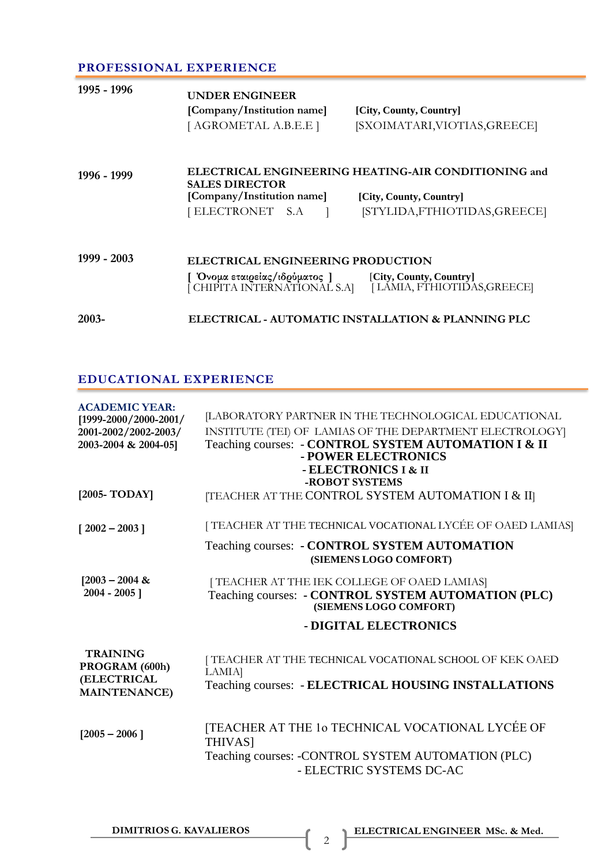### **PROFESSIONAL EXPERIENCE**

| 1995 - 1996 | UNDER ENGINEER<br>[Company/Institution name]<br>[AGROMETAL A.B.E.E]                                                                   | [City, County, Country]<br>[SXOIMATARI, VIOTIAS, GREECE] |  |
|-------------|---------------------------------------------------------------------------------------------------------------------------------------|----------------------------------------------------------|--|
| 1996 - 1999 | ELECTRICAL ENGINEERING HEATING-AIR CONDITIONING and<br><b>SALES DIRECTOR</b><br>[Company/Institution name]<br>[City, County, Country] |                                                          |  |
|             | [ELECTRONET S.A                                                                                                                       | [STYLIDA,FTHIOTIDAS,GREECE]                              |  |
| 1999 - 2003 | ELECTRICAL ENGINEERING PRODUCTION                                                                                                     |                                                          |  |
|             | Όνομα εταιρείας/ιδρύματος ] [City, County, Country]<br>J CHIPITA INTERNATIONAL S.A]                                                   | [LÁMIA, FTHIOTIDAS, GREECE]                              |  |
| 2003-       |                                                                                                                                       | ELECTRICAL - AUTOMATIC INSTALLATION & PLANNING PLC       |  |

# **EDUCATIONAL EXPERIENCE**

| <b>ACADEMIC YEAR:</b><br>[1999-2000/2000-2001/<br>2001-2002/2002-2003/<br>2003-2004 & 2004-05] | [LABORATORY PARTNER IN THE TECHNOLOGICAL EDUCATIONAL<br>INSTITUTE (TEI) OF LAMIAS OF THE DEPARTMENT ELECTROLOGY<br>Teaching courses: - CONTROL SYSTEM AUTOMATION I & II<br>- POWER ELECTRONICS<br>- ELECTRONICS I & II |
|------------------------------------------------------------------------------------------------|------------------------------------------------------------------------------------------------------------------------------------------------------------------------------------------------------------------------|
| [ $2005$ -TODAY]                                                                               | -ROBOT SYSTEMS<br>[TEACHER AT THE CONTROL SYSTEM AUTOMATION I & II]                                                                                                                                                    |
| $[2002 - 2003]$                                                                                | [TEACHER AT THE TECHNICAL VOCATIONAL LYCÉE OF OAED LAMIAS]                                                                                                                                                             |
|                                                                                                | Teaching courses: - CONTROL SYSTEM AUTOMATION<br>(SIEMENS LOGO COMFORT)                                                                                                                                                |
| $[2003 - 2004 \&$<br>$2004 - 2005$ ]                                                           | [TEACHER AT THE IEK COLLEGE OF OAED LAMIAS]<br>Teaching courses: - CONTROL SYSTEM AUTOMATION (PLC)<br>(SIEMENS LOGO COMFORT)                                                                                           |
|                                                                                                | - DIGITAL ELECTRONICS                                                                                                                                                                                                  |
| <b>TRAINING</b><br>PROGRAM (600h)<br>(ELECTRICAL<br><b>MAINTENANCE)</b>                        | [ TEACHER AT THE TECHNICAL VOCATIONAL SCHOOL OF KEK OAED<br>LAMIA]<br>Teaching courses: - ELECTRICAL HOUSING INSTALLATIONS                                                                                             |
| $[2005 - 2006]$                                                                                | [TEACHER AT THE 10 TECHNICAL VOCATIONAL LYCEE OF<br><b>THIVAS1</b><br>Teaching courses: -CONTROL SYSTEM AUTOMATION (PLC)<br>- ELECTRIC SYSTEMS DC-AC                                                                   |

2

**DIMITRIOS G. KAVALIEROS ELECTRICAL ENGINEER MSc. & Med.**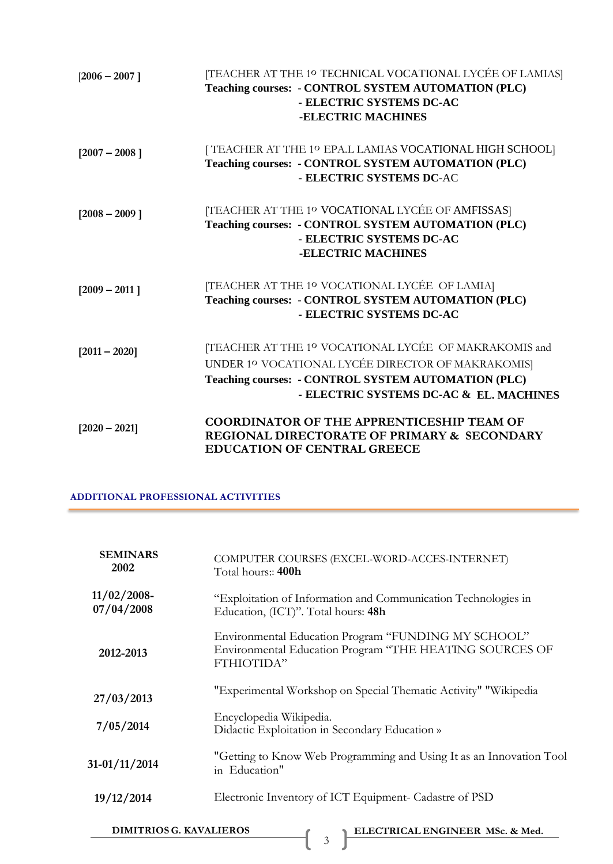| $[2006 - 2007]$ | [TEACHER AT THE 10 TECHNICAL VOCATIONAL LYCÉE OF LAMIAS]<br>Teaching courses: - CONTROL SYSTEM AUTOMATION (PLC)<br>- ELECTRIC SYSTEMS DC-AC<br>-ELECTRIC MACHINES                                            |
|-----------------|--------------------------------------------------------------------------------------------------------------------------------------------------------------------------------------------------------------|
| $[2007 - 2008]$ | [TEACHER AT THE 1º EPA.L LAMIAS VOCATIONAL HIGH SCHOOL]<br>Teaching courses: - CONTROL SYSTEM AUTOMATION (PLC)<br>- ELECTRIC SYSTEMS DC-AC                                                                   |
| $[2008 - 2009]$ | [TEACHER AT THE 1º VOCATIONAL LYCÉE OF AMFISSAS]<br>Teaching courses: - CONTROL SYSTEM AUTOMATION (PLC)<br>- ELECTRIC SYSTEMS DC-AC<br>-ELECTRIC MACHINES                                                    |
| $[2009 - 2011]$ | [TEACHER AT THE 1º VOCATIONAL LYCÉE OF LAMIA]<br>Teaching courses: - CONTROL SYSTEM AUTOMATION (PLC)<br>- ELECTRIC SYSTEMS DC-AC                                                                             |
| $[2011 - 2020]$ | [TEACHER AT THE 1º VOCATIONAL LYCÉE OF MAKRAKOMIS and<br>UNDER 10 VOCATIONAL LYCÉE DIRECTOR OF MAKRAKOMISJ<br>Teaching courses: - CONTROL SYSTEM AUTOMATION (PLC)<br>- ELECTRIC SYSTEMS DC-AC & EL. MACHINES |
| $[2020 - 2021]$ | <b>COORDINATOR OF THE APPRENTICESHIP TEAM OF</b><br>REGIONAL DIRECTORATE OF PRIMARY & SECONDARY<br><b>EDUCATION OF CENTRAL GREECE</b>                                                                        |

### **ADDITIONAL PROFESSIONAL ACTIVITIES**

| <b>SEMINARS</b><br>2002                                           | COMPUTER COURSES (EXCEL-WORD-ACCES-INTERNET)<br>Total hours:: 400h                                                           |  |
|-------------------------------------------------------------------|------------------------------------------------------------------------------------------------------------------------------|--|
| $11/02/2008$ -<br>07/04/2008                                      | "Exploitation of Information and Communication Technologies in<br>Education, (ICT)". Total hours: 48h                        |  |
| 2012-2013                                                         | Environmental Education Program "FUNDING MY SCHOOL"<br>Environmental Education Program "THE HEATING SOURCES OF<br>FTHIOTIDA" |  |
| 27/03/2013                                                        | "Experimental Workshop on Special Thematic Activity" "Wikipedia                                                              |  |
| 7/05/2014                                                         | Encyclopedia Wikipedia.<br>Didactic Exploitation in Secondary Education »                                                    |  |
| 31-01/11/2014                                                     | "Getting to Know Web Programming and Using It as an Innovation Tool<br>in Education"                                         |  |
| 19/12/2014                                                        | Electronic Inventory of ICT Equipment- Cadastre of PSD                                                                       |  |
| <b>DIMITRIOS G. KAVALIEROS</b><br>ELECTRICAL ENGINEER MSc. & Med. |                                                                                                                              |  |

3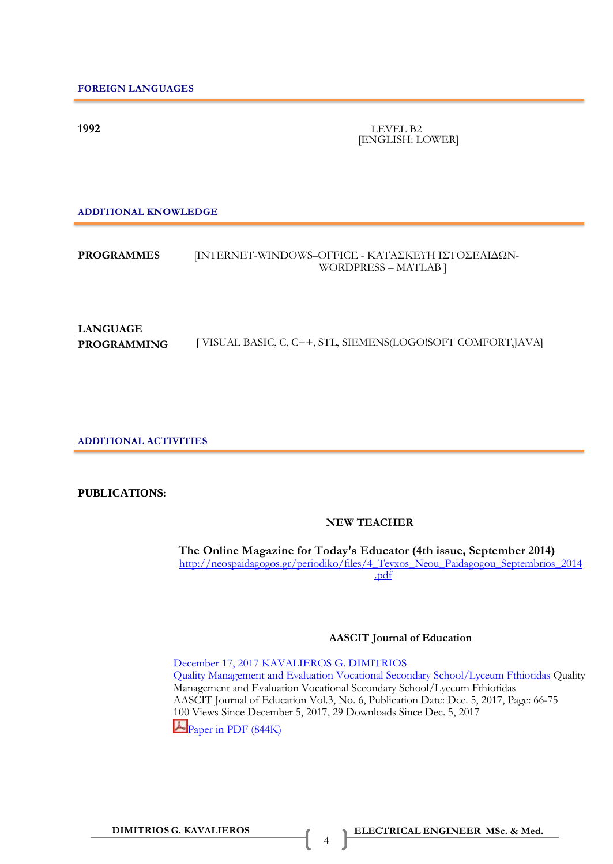**1992** LEVEL B2 [ENGLISH: LOWER]

**ADDITIONAL KNOWLEDGE**

### **PROGRAMMES** [INTERNET-WINDOWS–OFFICE - ΚΑΤΑΣΚΕΥΗ ΙΣΤΟΣΕΛΙΔΩΝ-WORDPRESS – MATLAB ]

# **LANGUAGE PROGRAMMING** [ VISUAL BASIC, C, C++, STL, SIEMENS(LOGO!SOFT COMFORT,JAVA]

**ADDITIONAL ACTIVITIES**

#### **PUBLICATIONS:**

### **NEW TEACHER**

**The Online Magazine for Today's Educator (4th issue, September 2014)** [http://neospaidagogos.gr/periodiko/files/4\\_Teyxos\\_Neou\\_Paidagogou\\_Septembrios\\_2014](http://neospaidagogos.gr/periodiko/files/4_Teyxos_Neou_Paidagogou_Septembrios_2014) [.pdf](http://neospaidagogos.gr/periodiko/files/4_Teyxos_Neou_Paidagogou_Septembrios_2014.pdf)

#### **AASCIT Journal of Education**

December [17, 2017 KA](http://www.jimkava.com/2017/12/17/aascit-journal-of-education/)VALIEROS G. DIMITRIOS Quality [Management and Evaluation Vocational Secondary](http://www.jimkava.com/wp-content/uploads/2017/12/9730760.pdf) School/Lyceum Fthiotidas Quality Management and Evaluation Vocational Secondary School/Lyceum Fthiotidas AASCIT Journal of Education Vol.3, No. 6, Publication Date: Dec. 5, 2017, Page: 66-75 100 Views Since December 5, 2017, 29 Downloads Since Dec. 5, 2017 **Paper [in PDF](http://article.aascit.org/file/pdf/9730760.pdf) (844K)** 

4

**DIMITRIOS G. KAVALIEROS ELECTRICAL ENGINEER MSc. & Med.**